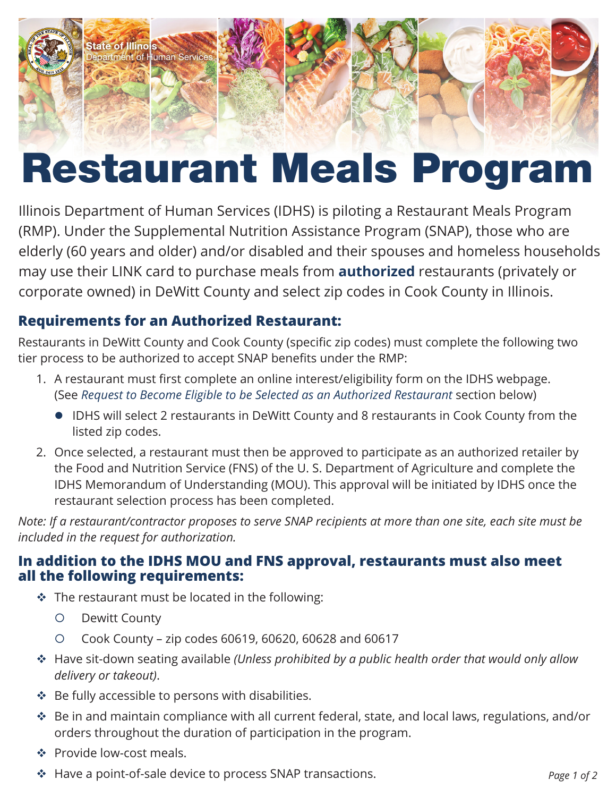

# Restaurant Meals Program

Illinois Department of Human Services (IDHS) is piloting a Restaurant Meals Program (RMP). Under the Supplemental Nutrition Assistance Program (SNAP), those who are elderly (60 years and older) and/or disabled and their spouses and homeless households may use their LINK card to purchase meals from **authorized** restaurants (privately or corporate owned) in DeWitt County and select zip codes in Cook County in Illinois.

## **Requirements for an Authorized Restaurant:**

Restaurants in DeWitt County and Cook County (specific zip codes) must complete the following two tier process to be authorized to accept SNAP benefits under the RMP:

- 1. A restaurant must first complete an online interest/eligibility form on the IDHS webpage. (See *Request to Become Eligible to be Selected as an Authorized Restaurant* section below)
	- IDHS will select 2 restaurants in DeWitt County and 8 restaurants in Cook County from the listed zip codes.
- 2. Once selected, a restaurant must then be approved to participate as an authorized retailer by the Food and Nutrition Service (FNS) of the U. S. Department of Agriculture and complete the IDHS Memorandum of Understanding (MOU). This approval will be initiated by IDHS once the restaurant selection process has been completed.

*Note: If a restaurant/contractor proposes to serve SNAP recipients at more than one site, each site must be included in the request for authorization.* 

#### **In addition to the IDHS MOU and FNS approval, restaurants must also meet all the following requirements:**

- $\cdot$  The restaurant must be located in the following:
	- { Dewitt County
	- { Cook County zip codes 60619, 60620, 60628 and 60617
- Have sit-down seating available *(Unless prohibited by a public health order that would only allow delivery or takeout)*.
- $\cdot \cdot$  Be fully accessible to persons with disabilities.
- Be in and maintain compliance with all current federal, state, and local laws, regulations, and/or orders throughout the duration of participation in the program.
- ❖ Provide low-cost meals.
- Have a point-of-sale device to process SNAP transactions. *Page 1 of 2*